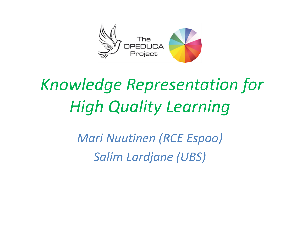

# *Knowledge Representation for High Quality Learning*

*Mari Nuutinen (RCE Espoo) Salim Lardjane (UBS)*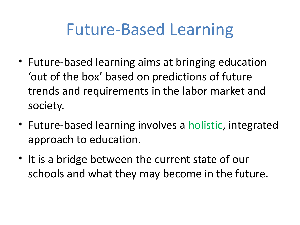# Future-Based Learning

- Future-based learning aims at bringing education 'out of the box' based on predictions of future trends and requirements in the labor market and society.
- Future-based learning involves a holistic, integrated approach to education.
- It is a bridge between the current state of our schools and what they may become in the future.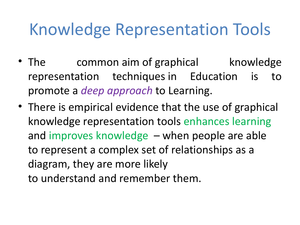- The common aim of graphical knowledge representation techniques in Education is to promote a *deep approach* to Learning.
- There is empirical evidence that the use of graphical knowledge representation tools enhances learning and improves knowledge – when people are able to represent a complex set of relationships as a diagram, they are more likely to understand and remember them.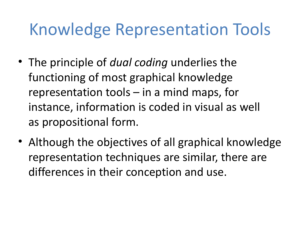- The principle of *dual coding* underlies the functioning of most graphical knowledge representation tools – in a mind maps, for instance, information is coded in visual as well as propositional form.
- Although the objectives of all graphical knowledge representation techniques are similar, there are differences in their conception and use.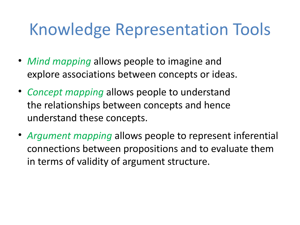- *Mind mapping* allows people to imagine and explore associations between concepts or ideas.
- *Concept mapping* allows people to understand the relationships between concepts and hence understand these concepts.
- *Argument mapping* allows people to represent inferential connections between propositions and to evaluate them in terms of validity of argument structure.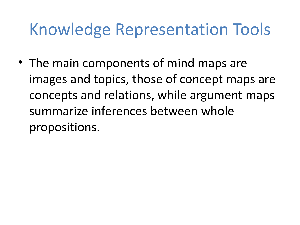• The main components of mind maps are images and topics, those of concept maps are concepts and relations, while argument maps summarize inferences between whole propositions.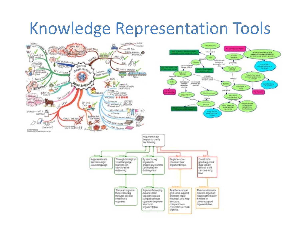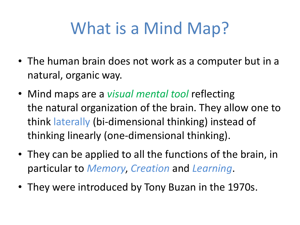# What is a Mind Map?

- The human brain does not work as a computer but in a natural, organic way.
- Mind maps are a *visual mental tool* reflecting the natural organization of the brain. They allow one to think laterally (bi-dimensional thinking) instead of thinking linearly (one-dimensional thinking).
- They can be applied to all the functions of the brain, in particular to *Memory*, *Creation* and *Learning*.
- They were introduced by Tony Buzan in the 1970s.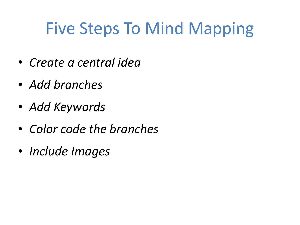# Five Steps To Mind Mapping

- *Create a central idea*
- *Add branches*
- *Add Keywords*
- *Color code the branches*
- *Include Images*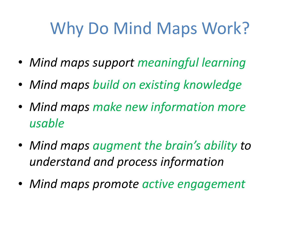# Why Do Mind Maps Work?

- *Mind maps support meaningful learning*
- *Mind maps build on existing knowledge*
- *Mind maps make new information more usable*
- *Mind maps augment the brain's ability to understand and process information*
- *Mind maps promote active engagement*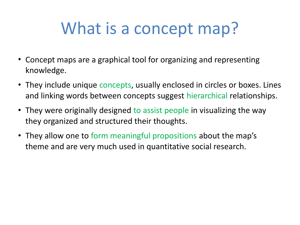# What is a concept map?

- Concept maps are a graphical tool for organizing and representing knowledge.
- They include unique concepts, usually enclosed in circles or boxes. Lines and linking words between concepts suggest hierarchical relationships.
- They were originally designed to assist people in visualizing the way they organized and structured their thoughts.
- They allow one to form meaningful propositions about the map's theme and are very much used in quantitative social research.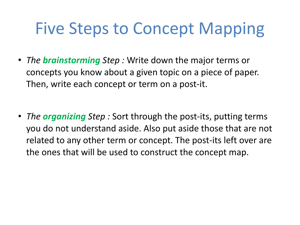- *The brainstorming Step :* Write down the major terms or concepts you know about a given topic on a piece of paper. Then, write each concept or term on a post-it.
- *The organizing Step :* Sort through the post-its, putting terms you do not understand aside. Also put aside those that are not related to any other term or concept. The post-its left over are the ones that will be used to construct the concept map.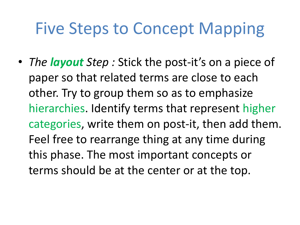• *The layout Step : Stick the post-it's on a piece of* paper so that related terms are close to each other. Try to group them so as to emphasize hierarchies. Identify terms that represent higher categories, write them on post-it, then add them. Feel free to rearrange thing at any time during this phase. The most important concepts or terms should be at the center or at the top.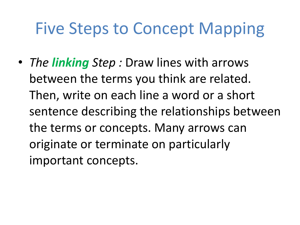• *The linking Step :* Draw lines with arrows between the terms you think are related. Then, write on each line a word or a short sentence describing the relationships between the terms or concepts. Many arrows can originate or terminate on particularly important concepts.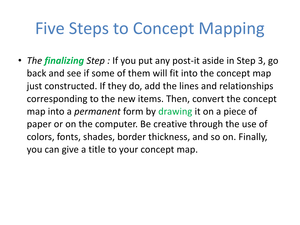• *The finalizing Step :* If you put any post-it aside in Step 3, go back and see if some of them will fit into the concept map just constructed. If they do, add the lines and relationships corresponding to the new items. Then, convert the concept map into a *permanent* form by drawing it on a piece of paper or on the computer. Be creative through the use of colors, fonts, shades, border thickness, and so on. Finally, you can give a title to your concept map.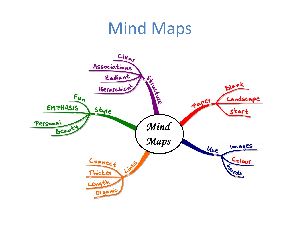### Mind Maps

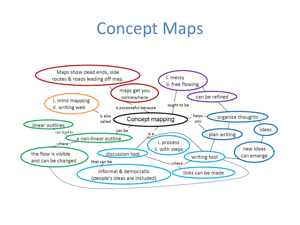#### Concept Maps